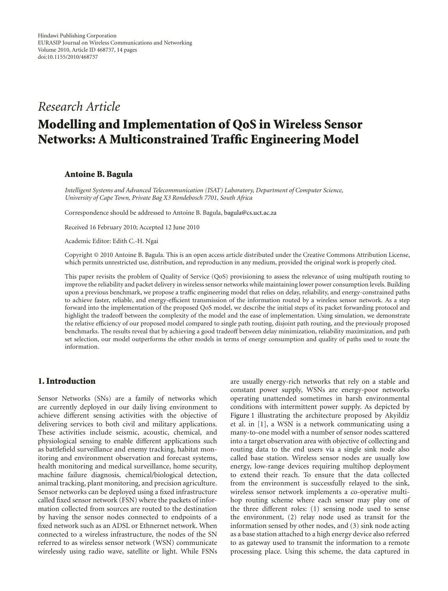## *Research Article*

# **Modelling and Implementation of QoS in Wireless Sensor Networks: A Multiconstrained Traffic Engineering Model**

## **Antoine B. Bagula**

*Intelligent Systems and Advanced Telecommunication (ISAT) Laboratory, Department of Computer Science, University of Cape Town, Private Bag X3 Rondebosch 7701, South Africa*

Correspondence should be addressed to Antoine B. Bagula, bagula@cs.uct.ac.za

Received 16 February 2010; Accepted 12 June 2010

Academic Editor: Edith C.-H. Ngai

Copyright © 2010 Antoine B. Bagula. This is an open access article distributed under the Creative Commons Attribution License, which permits unrestricted use, distribution, and reproduction in any medium, provided the original work is properly cited.

This paper revisits the problem of Quality of Service (QoS) provisioning to assess the relevance of using multipath routing to improve the reliability and packet delivery in wireless sensor networks while maintaining lower power consumption levels. Building upon a previous benchmark, we propose a traffic engineering model that relies on delay, reliability, and energy-constrained paths to achieve faster, reliable, and energy-efficient transmission of the information routed by a wireless sensor network. As a step forward into the implementation of the proposed QoS model, we describe the initial steps of its packet forwarding protocol and highlight the tradeoff between the complexity of the model and the ease of implementation. Using simulation, we demonstrate the relative efficiency of our proposed model compared to single path routing, disjoint path routing, and the previously proposed benchmarks. The results reveal that by achieving a good tradeoff between delay minimization, reliability maximization, and path set selection, our model outperforms the other models in terms of energy consumption and quality of paths used to route the information.

## **1. Introduction**

Sensor Networks (SNs) are a family of networks which are currently deployed in our daily living environment to achieve different sensing activities with the objective of delivering services to both civil and military applications. These activities include seismic, acoustic, chemical, and physiological sensing to enable different applications such as battlefield surveillance and enemy tracking, habitat monitoring and environment observation and forecast systems, health monitoring and medical surveillance, home security, machine failure diagnosis, chemical/biological detection, animal tracking, plant monitoring, and precision agriculture. Sensor networks can be deployed using a fixed infrastructure called fixed sensor network (FSN) where the packets of information collected from sources are routed to the destination by having the sensor nodes connected to endpoints of a fixed network such as an ADSL or Ethnernet network. When connected to a wireless infrastructure, the nodes of the SN referred to as wireless sensor network (WSN) communicate wirelessly using radio wave, satellite or light. While FSNs

are usually energy-rich networks that rely on a stable and constant power supply, WSNs are energy-poor networks operating unattended sometimes in harsh environmental conditions with intermittent power supply. As depicted by Figure 1 illustrating the architecture proposed by Akyildiz et al. in [1], a WSN is a network communicating using a many-to-one model with a number of sensor nodes scattered into a target observation area with objective of collecting and routing data to the end users via a single sink node also called base station. Wireless sensor nodes are usually low energy, low-range devices requiring multihop deployment to extend their reach. To ensure that the data collected from the environment is successfully relayed to the sink, wireless sensor network implements a co-operative multihop routing scheme where each sensor may play one of the three different roles: (1) sensing node used to sense the environment, (2) relay node used as transit for the information sensed by other nodes, and (3) sink node acting as a base station attached to a high energy device also referred to as gateway used to transmit the information to a remote processing place. Using this scheme, the data captured in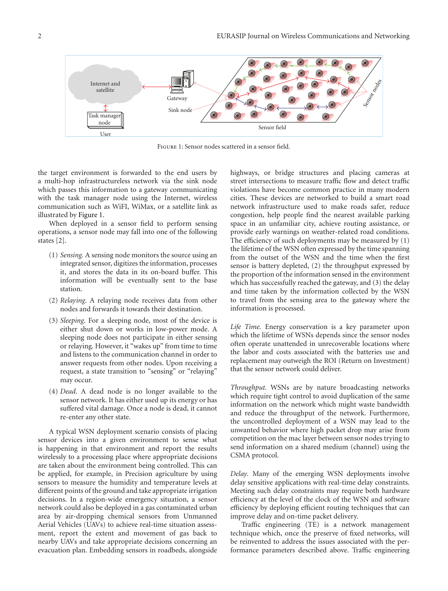

Figure 1: Sensor nodes scattered in a sensor field.

the target environment is forwarded to the end users by a multi-hop infrastructureless network via the sink node which passes this information to a gateway communicating with the task manager node using the Internet, wireless communication such as WiFI, WiMax, or a satellite link as illustrated by Figure 1.

When deployed in a sensor field to perform sensing operations, a sensor node may fall into one of the following states [2].

- (1) *Sensing.* A sensing node monitors the source using an integrated sensor, digitizes the information, processes it, and stores the data in its on-board buffer. This information will be eventually sent to the base station.
- (2) *Relaying*. A relaying node receives data from other nodes and forwards it towards their destination.
- (3) *Sleeping*. For a sleeping node, most of the device is either shut down or works in low-power mode. A sleeping node does not participate in either sensing or relaying. However, it "wakes up" from time to time and listens to the communication channel in order to answer requests from other nodes. Upon receiving a request, a state transition to "sensing" or "relaying" may occur.
- (4) *Dead*. A dead node is no longer available to the sensor network. It has either used up its energy or has suffered vital damage. Once a node is dead, it cannot re-enter any other state.

A typical WSN deployment scenario consists of placing sensor devices into a given environment to sense what is happening in that environment and report the results wirelessly to a processing place where appropriate decisions are taken about the environment being controlled. This can be applied, for example, in Precision agriculture by using sensors to measure the humidity and temperature levels at different points of the ground and take appropriate irrigation decisions. In a region-wide emergency situation, a sensor network could also be deployed in a gas contaminated urban area by air-dropping chemical sensors from Unmanned Aerial Vehicles (UAVs) to achieve real-time situation assessment, report the extent and movement of gas back to nearby UAVs and take appropriate decisions concerning an evacuation plan. Embedding sensors in roadbeds, alongside highways, or bridge structures and placing cameras at street intersections to measure traffic flow and detect traffic violations have become common practice in many modern cities. These devices are networked to build a smart road network infrastructure used to make roads safer, reduce congestion, help people find the nearest available parking space in an unfamiliar city, achieve routing assistance, or provide early warnings on weather-related road conditions. The efficiency of such deployments may be measured by (1) the lifetime of the WSN often expressed by the time spanning from the outset of the WSN and the time when the first sensor is battery depleted, (2) the throughput expressed by the proportion of the information sensed in the environment which has successfully reached the gateway, and (3) the delay and time taken by the information collected by the WSN to travel from the sensing area to the gateway where the information is processed.

*Life Time.* Energy conservation is a key parameter upon which the lifetime of WSNs depends since the sensor nodes often operate unattended in unrecoverable locations where the labor and costs associated with the batteries use and replacement may outweigh the ROI (Return on Investment) that the sensor network could deliver.

*Throughput.* WSNs are by nature broadcasting networks which require tight control to avoid duplication of the same information on the network which might waste bandwidth and reduce the throughput of the network. Furthermore, the uncontrolled deployment of a WSN may lead to the unwanted behavior where high packet drop may arise from competition on the mac layer between sensor nodes trying to send information on a shared medium (channel) using the CSMA protocol.

*Delay.* Many of the emerging WSN deployments involve delay sensitive applications with real-time delay constraints. Meeting such delay constraints may require both hardware efficiency at the level of the clock of the WSN and software efficiency by deploying efficient routing techniques that can improve delay and on-time packet delivery.

Traffic engineering (TE) is a network management technique which, once the preserve of fixed networks, will be reinvented to address the issues associated with the performance parameters described above. Traffic engineering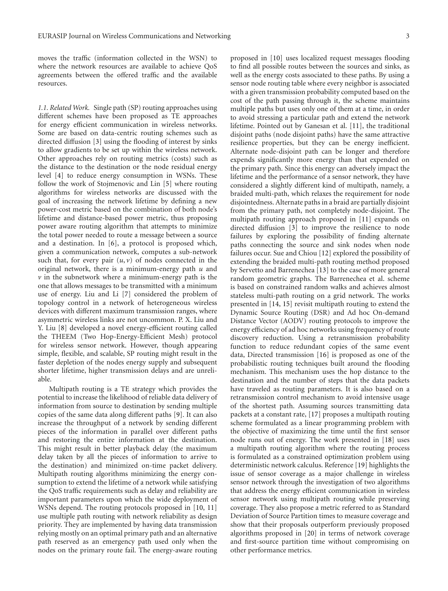moves the traffic (information collected in the WSN) to where the network resources are available to achieve QoS agreements between the offered traffic and the available resources.

*1.1. Related Work.* Single path (SP) routing approaches using different schemes have been proposed as TE approaches for energy efficient communication in wireless networks. Some are based on data-centric routing schemes such as directed diffusion [3] using the flooding of interest by sinks to allow gradients to be set up within the wireless network. Other approaches rely on routing metrics (costs) such as the distance to the destination or the node residual energy level [4] to reduce energy consumption in WSNs. These follow the work of Stojmenovic and Lin [5] where routing algorithms for wireless networks are discussed with the goal of increasing the network lifetime by defining a new power-cost metric based on the combination of both node's lifetime and distance-based power metric, thus proposing power aware routing algorithm that attempts to minimize the total power needed to route a message between a source and a destination. In [6], a protocol is proposed which, given a communication network, computes a sub-network such that, for every pair  $(u, v)$  of nodes connected in the original network, there is a minimum-energy path *u* and *v* in the subnetwork where a minimum-energy path is the one that allows messages to be transmitted with a minimum use of energy. Liu and Li [7] considered the problem of topology control in a network of heterogeneous wireless devices with different maximum transmission ranges, where asymmetric wireless links are not uncommon. P. X. Liu and Y. Liu [8] developed a novel energy-efficient routing called the THEEM (Two Hop-Energy-Efficient Mesh) protocol for wireless sensor network. However, though appearing simple, flexible, and scalable, SP routing might result in the faster depletion of the nodes energy supply and subsequent shorter lifetime, higher transmission delays and are unreliable.

Multipath routing is a TE strategy which provides the potential to increase the likelihood of reliable data delivery of information from source to destination by sending multiple copies of the same data along different paths [9]. It can also increase the throughput of a network by sending different pieces of the information in parallel over different paths and restoring the entire information at the destination. This might result in better playback delay (the maximum delay taken by all the pieces of information to arrive to the destination) and minimized on-time packet delivery. Multipath routing algorithms minimizing the energy consumption to extend the lifetime of a network while satisfying the QoS traffic requirements such as delay and reliability are important parameters upon which the wide deployment of WSNs depend. The routing protocols proposed in [10, 11] use multiple path routing with network reliability as design priority. They are implemented by having data transmission relying mostly on an optimal primary path and an alternative path reserved as an emergency path used only when the nodes on the primary route fail. The energy-aware routing

proposed in [10] uses localized request messages flooding to find all possible routes between the sources and sinks, as well as the energy costs associated to these paths. By using a sensor node routing table where every neighbor is associated with a given transmission probability computed based on the cost of the path passing through it, the scheme maintains multiple paths but uses only one of them at a time, in order to avoid stressing a particular path and extend the network lifetime. Pointed out by Ganesan et al. [11], the traditional disjoint paths (node disjoint paths) have the same attractive resilience properties, but they can be energy inefficient. Alternate node-disjoint path can be longer and therefore expends significantly more energy than that expended on the primary path. Since this energy can adversely impact the lifetime and the performance of a sensor network, they have considered a slightly different kind of multipath, namely, a braided multi-path, which relaxes the requirement for node disjointedness. Alternate paths in a braid are partially disjoint from the primary path, not completely node-disjoint. The multipath routing approach proposed in [11] expands on directed diffusion [3] to improve the resilience to node failures by exploring the possibility of finding alternate paths connecting the source and sink nodes when node failures occur. Sue and Chiou [12] explored the possibility of extending the braided multi-path routing method proposed by Servetto and Barrenechea [13] to the case of more general random geometric graphs. The Barrenechea et al. scheme is based on constrained random walks and achieves almost stateless multi-path routing on a grid network. The works presented in [14, 15] revisit multipath routing to extend the Dynamic Source Routing (DSR) and Ad hoc On-demand Distance Vector (AODV) routing protocols to improve the energy efficiency of ad hoc networks using frequency of route discovery reduction. Using a retransmission probability function to reduce redundant copies of the same event data, Directed transmission [16] is proposed as one of the probabilistic routing techniques built around the flooding mechanism. This mechanism uses the hop distance to the destination and the number of steps that the data packets have traveled as routing parameters. It is also based on a retransmission control mechanism to avoid intensive usage of the shortest path. Assuming sources transmitting data packets at a constant rate, [17] proposes a multipath routing scheme formulated as a linear programming problem with the objective of maximizing the time until the first sensor node runs out of energy. The work presented in [18] uses a multipath routing algorithm where the routing process is formulated as a constrained optimization problem using deterministic network calculus. Reference [19] highlights the issue of sensor coverage as a major challenge in wireless sensor network through the investigation of two algorithms that address the energy efficient communication in wireless sensor network using multipath routing while preserving coverage. They also propose a metric referred to as Standard Deviation of Source Partition times to measure coverage and show that their proposals outperform previously proposed algorithms proposed in [20] in terms of network coverage and first-source partition time without compromising on other performance metrics.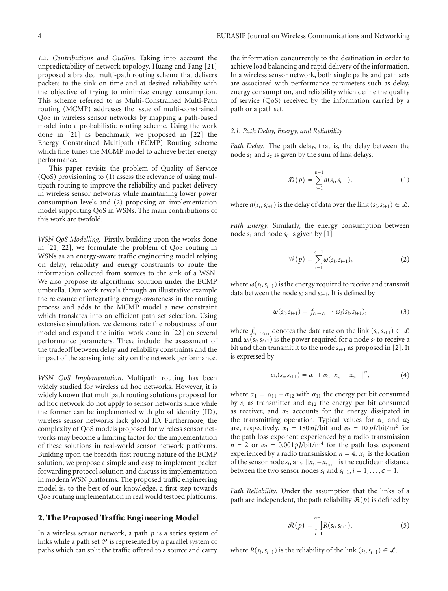*1.2. Contributions and Outline.* Taking into account the unpredictability of network topology, Huang and Fang [21] proposed a braided multi-path routing scheme that delivers packets to the sink on time and at desired reliability with the objective of trying to minimize energy consumption. This scheme referred to as Multi-Constrained Multi-Path routing (MCMP) addresses the issue of multi-constrained QoS in wireless sensor networks by mapping a path-based model into a probabilistic routing scheme. Using the work done in [21] as benchmark, we proposed in [22] the Energy Constrained Multipath (ECMP) Routing scheme which fine-tunes the MCMP model to achieve better energy performance.

This paper revisits the problem of Quality of Service (QoS) provisioning to (1) assess the relevance of using multipath routing to improve the reliability and packet delivery in wireless sensor networks while maintaining lower power consumption levels and (2) proposing an implementation model supporting QoS in WSNs. The main contributions of this work are twofold.

*WSN QoS Modelling.* Firstly, building upon the works done in [21, 22], we formulate the problem of QoS routing in WSNs as an energy-aware traffic engineering model relying on delay, reliability and energy constraints to route the information collected from sources to the sink of a WSN. We also propose its algorithmic solution under the ECMP umbrella. Our work reveals through an illustrative example the relevance of integrating energy-awareness in the routing process and adds to the MCMP model a new constraint which translates into an efficient path set selection. Using extensive simulation, we demonstrate the robustness of our model and expand the initial work done in [22] on several performance parameters. These include the assessment of the tradeoff between delay and reliability constraints and the impact of the sensing intensity on the network performance.

*WSN QoS Implementation.* Multipath routing has been widely studied for wireless ad hoc networks. However, it is widely known that multipath routing solutions proposed for ad hoc network do not apply to sensor networks since while the former can be implemented with global identity (ID), wireless sensor networks lack global ID. Furthermore, the complexity of QoS models proposed for wireless sensor networks may become a limiting factor for the implementation of these solutions in real-world sensor network platforms. Building upon the breadth-first routing nature of the ECMP solution, we propose a simple and easy to implement packet forwarding protocol solution and discuss its implementation in modern WSN platforms. The proposed traffic engineering model is, to the best of our knowledge, a first step towards QoS routing implementation in real world testbed platforms.

### **2. The Proposed Traffic Engineering Model**

In a wireless sensor network, a path *p* is a series system of links while a path set  $P$  is represented by a parallel system of paths which can split the traffic offered to a source and carry

the information concurrently to the destination in order to achieve load balancing and rapid delivery of the information. In a wireless sensor network, both single paths and path sets are associated with performance parameters such as delay, energy consumption, and reliability which define the quality of service (QoS) received by the information carried by a path or a path set.

#### *2.1. Path Delay, Energy, and Reliability*

*Path Delay.* The path delay, that is, the delay between the node  $s_1$  and  $s_6$  is given by the sum of link delays:

$$
\mathcal{D}(p) = \sum_{i=1}^{\epsilon-1} d(s_i, s_{i+1}), \qquad (1)
$$

where  $d(s_i, s_{i+1})$  is the delay of data over the link  $(s_i, s_{i+1}) \in \mathcal{L}$ .

*Path Energy.* Similarly, the energy consumption between node  $s_1$  and node  $s_6$  is given by [1]

$$
\mathcal{W}(p) = \sum_{i=1}^{\epsilon-1} \omega(s_i, s_{i+1}), \qquad (2)
$$

where  $\omega(s_i, s_{i+1})$  is the energy required to receive and transmit data between the node  $s_i$  and  $s_{i+1}$ . It is defined by

$$
\omega(s_i,s_{i+1})=f_{s_i\rightarrow s_{i+1}}\cdot\omega_i(s_i,s_{i+1}),\qquad(3)
$$

where  $f_{s_i \to s_{i+1}}$  denotes the data rate on the link  $(s_i, s_{i+1}) \in \mathcal{L}$ and  $\omega_i(s_i, s_{i+1})$  is the power required for a node  $s_i$  to receive a bit and then transmit it to the node *si*+1 as proposed in [2]. It is expressed by

$$
\omega_i(s_i,s_{i+1}) = \alpha_1 + \alpha_2 ||x_{s_i} - x_{s_{i+1}}||^n, \qquad (4)
$$

where  $\alpha_1 = \alpha_{11} + \alpha_{12}$  with  $\alpha_{11}$  the energy per bit consumed by  $s_i$  as transmitter and  $\alpha_{12}$  the energy per bit consumed as receiver, and  $\alpha_2$  accounts for the energy dissipated in the transmitting operation. Typical values for  $\alpha_1$  and  $\alpha_2$ are, respectively,  $\alpha_1 = 180 \frac{nJ}{bit}$  and  $\alpha_2 = 10 \frac{pJ}{bit}}{m^2}$  for the path loss exponent experienced by a radio transmission  $n = 2$  or  $\alpha_2 = 0.001 \frac{p}{b}$ it/m<sup>4</sup> for the path loss exponent experienced by a radio transmission  $n = 4$ .  $x_{s_i}$  is the location of the sensor node  $s_i$ , and  $||x_{s_i} - x_{s_{i+1}}||$  is the euclidean distance between the two sensor nodes  $s_i$  and  $s_{i+1}$ ,  $i = 1, \ldots, \epsilon - 1$ .

*Path Reliability.* Under the assumption that the links of a path are independent, the path reliability  $\mathcal{R}(p)$  is defined by

$$
\mathcal{R}(p) = \prod_{i=1}^{n-1} R(s_i, s_{i+1}),
$$
\n(5)

where *R*( $s_i$ ,  $s_{i+1}$ ) is the reliability of the link ( $s_i$ ,  $s_{i+1}$ )  $\in \mathcal{L}$ .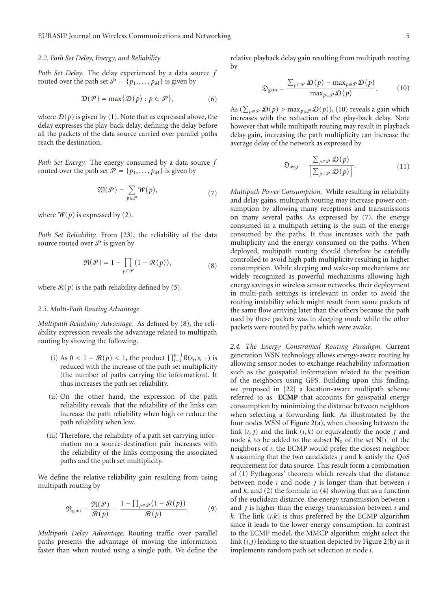#### *2.2. Path Set Delay, Energy, and Reliability*

*Path Set Delay.* The delay experienced by a data source *f* routed over the path set  $\mathcal{P} = \{p_1, \ldots, p_M\}$  is given by

$$
\mathfrak{D}(\mathcal{P}) = \max\{\mathcal{D}(p) : p \in \mathcal{P}\},\tag{6}
$$

where  $\mathcal{D}(p)$  is given by (1). Note that as expressed above, the delay expresses the play-back delay, defining the delay before all the packets of the data source carried over parallel paths reach the destination.

*Path Set Energy.* The energy consumed by a data source *f* routed over the path set  $\mathcal{P} = \{p_1, \ldots, p_M\}$  is given by

$$
\mathfrak{W}(\mathcal{P}) = \sum_{p \in \mathcal{P}} \mathcal{W}(p),\tag{7}
$$

where  $W(p)$  is expressed by (2).

*Path Set Reliability.* From [23], the reliability of the data source routed over  $P$  is given by

$$
\Re(\mathcal{P}) = 1 - \prod_{p \in \mathcal{P}} (1 - \mathcal{R}(p)),\tag{8}
$$

where  $\mathcal{R}(p)$  is the path reliability defined by (5).

#### *2.3. Multi-Path Routing Advantage*

*Multipath Reliability Advantage.* As defined by (8), the reliability expression reveals the advantage related to multipath routing by showing the following.

- (i) As  $0 < 1 \Re(p) < 1$ , the product  $\prod_{i=1}^{n-1} R(s_i, s_{i+1})$  is reduced with the increase of the path set multiplicity (the number of paths carrying the information). It thus increases the path set reliability.
- (ii) On the other hand, the expression of the path reliability reveals that the reliability of the links can increase the path reliability when high or reduce the path reliability when low.
- (iii) Therefore, the reliability of a path set carrying information on a source-destination pair increases with the reliability of the links composing the associated paths and the path set multiplicity.

We define the relative reliability gain resulting from using multipath routing by

$$
\mathfrak{R}_{\text{gain}} = \frac{\mathfrak{R}(\mathcal{P})}{\mathcal{R}(p)} = \frac{1 - \prod_{p \in \mathcal{P}} (1 - \mathcal{R}(p))}{\mathcal{R}(p)}.
$$
(9)

*Multipath Delay Advantage.* Routing traffic over parallel paths presents the advantage of moving the information faster than when routed using a single path. We define the

relative playback delay gain resulting from multipath routing by

$$
\mathfrak{D}_{\text{gain}} = \frac{\sum_{p \in \mathcal{P}} \mathcal{D}(p) - \max_{p \in \mathcal{P}} \mathcal{D}(p)}{\max_{p \in \mathcal{P}} \mathcal{D}(p)}.
$$
 (10)

As  $(\sum_{p \in \mathcal{P}} \mathcal{D}(p) > \max_{p \in \mathcal{P}} \mathcal{D}(p)),$  (10) reveals a gain which increases with the reduction of the play-back delay. Note however that while multipath routing may result in playback delay gain, increasing the path multiplicity can increase the average delay of the network as expressed by

$$
\mathfrak{D}_{\text{avgr}} = \frac{\sum_{p \in \mathcal{P}} \mathcal{D}(p)}{\left| \sum_{p \in \mathcal{P}} \mathcal{D}(p) \right|}.
$$
 (11)

*Multipath Power Consumption.* While resulting in reliability and delay gains, multipath routing may increase power consumption by allowing many receptions and transmissions on many several paths. As expressed by (7), the energy consumed in a multipath setting is the sum of the energy consumed by the paths. It thus increases with the path multiplicity and the energy consumed on the paths. When deployed, multipath routing should therefore be carefully controlled to avoid high path multiplicity resulting in higher consumption. While sleeping and wake-up mechanisms are widely recognized as powerful mechanisms allowing high energy savings in wireless sensor networks, their deployment in multi-path settings is irrelevant in order to avoid the routing instability which might result from some packets of the same flow arriving later than the others because the path used by these packets was in sleeping mode while the other packets were routed by paths which were awake.

*2.4. The Energy Constrained Routing Paradigm.* Current generation WSN technology allows energy-aware routing by allowing sensor nodes to exchange reachability information such as the geospatial information related to the position of the neighbors using GPS. Building upon this finding, we proposed in [22] a location-aware multipath scheme referred to as **ECMP** that accounts for geospatial energy consumption by minimizing the distance between neighbors when selecting a forwarding link. As illustratated by the four nodes WSN of Figure 2(a), when choosing between the link  $(i, j)$  and the link  $(i, k)$  or equivalently the node *j* and node *k* to be added to the subset  $N_0$  of the set  $N[i]$  of the neighbors of *ı*, the ECMP would prefer the closest neighbor *k* assuming that the two candidates *j* and k satisfy the QoS requirement for data source. This result form a combination of (1) Pythagoras' theorem which reveals that the distance between node *ı* and node *j* is longer than that between *ı* and *k*, and (2) the formula in (4) showing that as a function of the euclidean distance, the energy transmission between *ı* and *j* is higher than the energy transmission between *ı* and *k*. The link  $(i,k)$  is thus preferred by the ECMP algorithm since it leads to the lower energy consumption. In contrast to the ECMP model, the MMCP algorithm might select the link  $(i, j)$  leading to the situation depicted by Figure 2(b) as it implements random path set selection at node *ı*.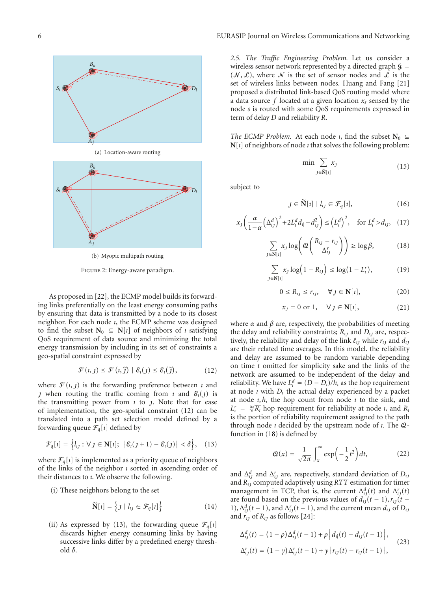

(b) Myopic multipath routing

Figure 2: Energy-aware paradigm.

As proposed in [22], the ECMP model builds its forwarding links preferentially on the least energy consuming paths by ensuring that data is transmitted by a node to its closest neighbor. For each node *ı*, the ECMP scheme was designed to find the subset  $N_0 \subseteq N[i]$  of neighbors of *i* satisfying QoS requirement of data source and minimizing the total energy transmission by including in its set of constraints a geo-spatial constraint expressed by

$$
\mathcal{F}(t, j) \le \mathcal{F}(t, \tilde{j}) \mid \mathcal{E}_t(j) \le \mathcal{E}_t(\tilde{j}), \tag{12}
$$

where  $\mathcal{F}(t, j)$  is the forwarding preference between *i* and *j* when routing the traffic coming from *i* and  $\mathcal{E}_i(j)$  is the transmitting power from *ı* to *j*. Note that for ease of implementation, the geo-spatial constraint (12) can be translated into a path set selection model defined by a forwarding queue  $\mathcal{F}_q[i]$  defined by

$$
\mathcal{F}_q[i] = \Big\{ l_{ij} : \forall j \in \mathbf{N}[i]; \ \big| \mathcal{E}_i(j+1) - \mathcal{E}_i(j) \big| < \delta \Big\}, \tag{13}
$$

where  $\mathcal{F}_q[i]$  is implemented as a priority queue of neighbors of the links of the neighbor *ı* sorted in ascending order of their distances to *ı*. We observe the following.

(i) These neigbhors belong to the set

$$
\widetilde{\mathbf{N}}[i] = \left\{ j \mid l_{ij} \in \mathcal{F}_q[i] \right\} \tag{14}
$$

(ii) As expressed by (13), the forwarding queue  $\mathcal{F}_q[i]$ discards higher energy consuming links by having successive links differ by a predefined energy threshold *δ*.

*2.5. The Traffic Engineering Problem.* Let us consider a wireless sensor network represented by a directed graph  $\mathcal{G}$  =  $(N, \mathcal{L})$ , where N is the set of sensor nodes and L is the set of wireless links between nodes. Huang and Fang [21] proposed a distributed link-based QoS routing model where a data source *f* located at a given location *xs* sensed by the node *s* is routed with some QoS requirements expressed in term of delay *D* and reliability *R*.

*The ECMP Problem.* At each node *i*, find the subset  $N_0 \subseteq$ **N**[*ı*] of neighbors of node *ı* that solves the following problem:

$$
\min \sum_{J \in \widetilde{\mathbf{N}}[t]} x_J \tag{15}
$$

subject to

$$
j \in \widetilde{\mathbf{N}}[i] \mid l_{ij} \in \mathcal{F}_q[i],\tag{16}
$$

$$
x_j \left(\frac{\alpha}{1-\alpha} \left(\Delta_{ij}^d\right)^2 + 2L_i^d d_{ij} - d_{ij}^2\right) \le \left(L_i^d\right)^2, \quad \text{for } L_i^d > d_{ij}, \quad (17)
$$

$$
\sum_{j \in \mathbf{N}[i]} x_j \log \left( \mathcal{Q} \left( \frac{R_{ij} - r_{ij}}{\Delta_{ij}^r} \right) \right) \ge \log \beta, \tag{18}
$$

$$
\sum_{j \in \mathbb{N}[i]} x_j \log (1 - R_{ij}) \le \log (1 - L_i^r), \tag{19}
$$

$$
0 \le R_{ij} \le r_{ij}, \quad \forall j \in \mathbf{N}[i], \tag{20}
$$

$$
x_j = 0 \text{ or } 1, \quad \forall j \in \mathbb{N}[i], \tag{21}
$$

where  $\alpha$  and  $\beta$  are, respectively, the probabilities of meeting the delay and reliability constraints;  $R_{11}$  and  $D_{11}$  are, respectively, the reliability and delay of the link  $\ell_{ij}$  while  $r_{ij}$  and  $d_{ij}$ are their related time averages. In this model. the reliability and delay are assumed to be random variable depending on time *t* omitted for simplicity sake and the links of the network are assumed to be independent of the delay and reliability. We have  $L_i^d = (D - D_i)/h_i$  as the hop requirement at node  $\iota$  with  $D_{\iota}$  the actual delay experienced by a packet at node  $i, h_i$  the hop count from node  $i$  to the sink, and  $L_t^r = \sqrt[1]{R_t}$  hop requirement for reliability at node *ı*, and *R*<sub>*i*</sub> is the portion of reliability requirement assigned to the path through node *ı* decided by the upstream node of *ı.* The Qfunction in (18) is defined by

$$
\mathcal{Q}(x) = \frac{1}{\sqrt{2\pi}} \int_{x}^{\infty} \exp\left(-\frac{1}{2}t^2\right) dt, \tag{22}
$$

and  $\Delta_{ij}^d$  and  $\Delta_{ij}^r$  are, respectively, standard deviation of  $D_{ij}$ and *Rı<sup>j</sup>* computed adaptively using *RTT* estimation for timer management in TCP, that is, the current  $\Delta_{ij}^d(t)$  and  $\Delta_{ij}^r(t)$ are found based on the previous values of  $d_{ij}(t-1)$ ,  $r_{ij}(t-1)$ 1),  $\Delta_{ij}^d(t-1)$ , and  $\Delta_{ij}^r(t-1)$ , and the current mean  $d_{ij}$  of  $D_{ij}$ and  $r_{ij}$  of  $R_{ij}$  as follows [24]:

$$
\Delta_{ij}^d(t) = (1 - \rho) \Delta_{ij}^d(t - 1) + \rho \left| d_{ij}(t) - d_{ij}(t - 1) \right|,
$$
  
\n
$$
\Delta_{ij}^r(t) = (1 - \gamma) \Delta_{ij}^r(t - 1) + \gamma \left| r_{ij}(t) - r_{ij}(t - 1) \right|,
$$
\n(23)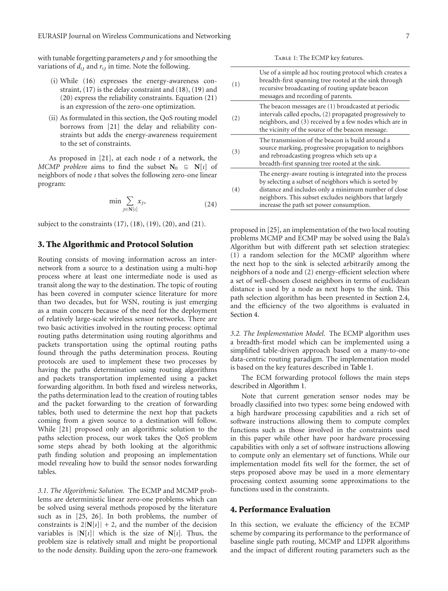with tunable forgetting parameters *ρ* and *γ* for smoothing the variations of  $d_{11}$  and  $r_{11}$  in time. Note the following.

- (i) While (16) expresses the energy-awareness constraint, (17) is the delay constraint and (18), (19) and (20) express the reliability constraints. Equation (21) is an expression of the zero-one optimization.
- (ii) As formulated in this section, the QoS routing model borrows from [21] the delay and reliability constraints but adds the energy-awareness requirement to the set of constraints.

As proposed in [21], at each node *ı* of a network, the *MCMP problem* aims to find the subset  $N_0 \subseteq N[i]$  of neighbors of node *ı* that solves the following zero-one linear program:

$$
\min \sum_{j \in \mathbf{N}[i]} x_j, \tag{24}
$$

subject to the constraints (17), (18), (19), (20), and (21).

## **3. The Algorithmic and Protocol Solution**

Routing consists of moving information across an internetwork from a source to a destination using a multi-hop process where at least one intermediate node is used as transit along the way to the destination. The topic of routing has been covered in computer science literature for more than two decades, but for WSN, routing is just emerging as a main concern because of the need for the deployment of relatively large-scale wireless sensor networks. There are two basic activities involved in the routing process: optimal routing paths determination using routing algorithms and packets transportation using the optimal routing paths found through the paths determination process. Routing protocols are used to implement these two processes by having the paths determination using routing algorithms and packets transportation implemented using a packet forwarding algorithm. In both fixed and wireless networks, the paths determination lead to the creation of routing tables and the packet forwarding to the creation of forwarding tables, both used to determine the next hop that packets coming from a given source to a destination will follow. While [21] proposed only an algorithmic solution to the paths selection process, our work takes the QoS problem some steps ahead by both looking at the algorithmic path finding solution and proposing an implementation model revealing how to build the sensor nodes forwarding tables.

*3.1. The Algorithmic Solution.* The ECMP and MCMP problems are deterministic linear zero-one problems which can be solved using several methods proposed by the literature such as in [25, 26]. In both problems, the number of constraints is  $2|\mathbf{N}[i]| + 2$ , and the number of the decision variables is  $|\mathbf{N}[i]|$  which is the size of  $\mathbf{N}[i]$ . Thus, the problem size is relatively small and might be proportional to the node density. Building upon the zero-one framework

TABLE 1: The ECMP key features.

| (1) | Use of a simple ad hoc routing protocol which creates a<br>breadth-first spanning tree rooted at the sink through<br>recursive broadcasting of routing update beacon<br>messages and recording of parents.                                                                     |
|-----|--------------------------------------------------------------------------------------------------------------------------------------------------------------------------------------------------------------------------------------------------------------------------------|
| (2) | The beacon messages are (1) broadcasted at periodic<br>intervals called epochs, (2) propagated progressively to<br>neighbors, and (3) received by a few nodes which are in<br>the vicinity of the source of the beacon message.                                                |
| (3) | The transmission of the beacon is build around a<br>source marking, progressive propagation to neighbors<br>and rebroadcasting progress which sets up a<br>breadth-first spanning tree rooted at the sink.                                                                     |
| (4) | The energy-aware routing is integrated into the process<br>by selecting a subset of neigbhors which is sorted by<br>distance and includes only a minimum number of close<br>neighbors. This subset excludes neighbors that largely<br>increase the path set power consumption. |

proposed in [25], an implementation of the two local routing problems MCMP and ECMP may be solved using the Bala's Algorithm but with different path set selection strategies: (1) a random selection for the MCMP algorithm where the next hop to the sink is selected arbitrarily among the neigbhors of a node and (2) energy-efficient selection where a set of well-chosen closest neighbors in terms of euclidean distance is used by a node as next hops to the sink. This path selection algorithm has been presented in Section 2.4, and the efficiency of the two algorithms is evaluated in Section 4.

*3.2. The Implementation Model.* The ECMP algorithm uses a breadth-first model which can be implemented using a simplified table-driven approach based on a many-to-one data-centric routing paradigm. The implementation model is based on the key features described in Table 1.

The ECM forwarding protocol follows the main steps described in Algorithm 1.

Note that current generation sensor nodes may be broadly classified into two types: some being endowed with a high hardware processing capabilities and a rich set of software instructions allowing them to compute complex functions such as those involved in the constraints used in this paper while other have poor hardware processing capabilities with only a set of software instructions allowing to compute only an elementary set of functions. While our implementation model fits well for the former, the set of steps proposed above may be used in a more elementary processing context assuming some approximations to the functions used in the constraints.

## **4. Performance Evaluation**

In this section, we evaluate the efficiency of the ECMP scheme by comparing its performance to the performance of baseline single path routing, MCMP and LDPR algorithms and the impact of different routing parameters such as the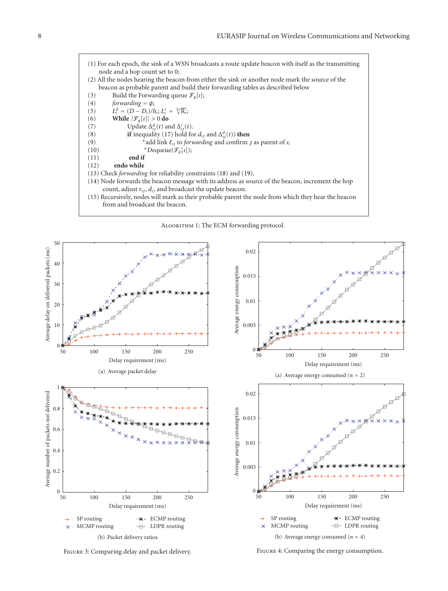- (1) For each epoch, the sink of a WSN broadcasts a route update beacon with itself as the transmitting node and a hop count set to 0; (2) All the nodes hearing the beacon from either the sink or another node mark the source of the beacon as probable parent and build their forwarding tables as described below (3) Build the Forwarding queue  $\mathcal{F}_q[i]$ ; (4) *forwarding* =  $\phi$ ;  $(5)$
- $L_i^d = (D D_i)/h_i; L_i^r = \sqrt[h_i]{R_i};$
- (6) **While**  $|\mathcal{F}_q[i]| > 0$  **do**<br>(7) **Update**  $\Delta_n^d(t)$  and
- (7) Update  $\Delta_{ij}^d(t)$  and  $\Delta_{ij}^r(t)$ .
- (8) **if** inequality (17) hold for  $d_{ij}$  and  $\Delta_{ij}^d(t)$ ) **then** (9)  $*$ add link  $\ell_{ij}$  to *forwarding* and confirm *j* as parent of *i*;
- (10)  $*$ Dequeue( $\mathcal{F}_q[i]$ );
- (11) **end if**
- (12) **endo while**
- (13) Check *forwarding* for reliability constraints (18) and (19).
- (14) Node forwards the beacon message with its address as source of the beacon, increment the hop count, adjust *rıj*, *dı<sup>j</sup>* and broadcast the update beacon.
- (15) Recursively, nodes will mark as their probable parent the node from which they hear the beacon from and broadcast the beacon.

ALGORITHM 1: The ECM forwarding protocol.



Figure 3: Comparing delay and packet delivery.



FIGURE 4: Comparing the energy consumption.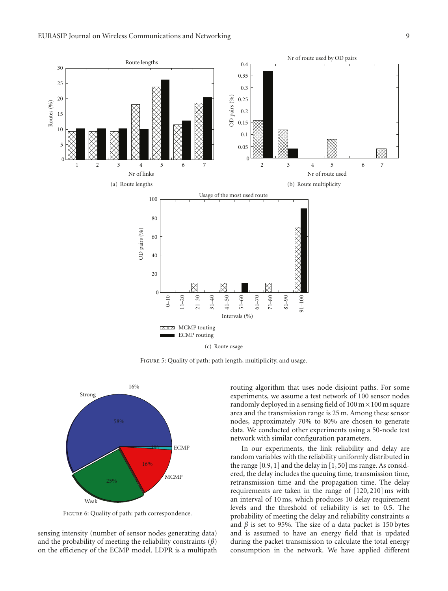

Figure 5: Quality of path: path length, multiplicity, and usage.



FIGURE 6: Quality of path: path correspondence.

sensing intensity (number of sensor nodes generating data) and the probability of meeting the reliability constraints (*β*) on the efficiency of the ECMP model. LDPR is a multipath routing algorithm that uses node disjoint paths. For some experiments, we assume a test network of 100 sensor nodes randomly deployed in a sensing field of  $100 \text{ m} \times 100 \text{ m}$  square area and the transmission range is 25 m. Among these sensor nodes, approximately 70% to 80% are chosen to generate data. We conducted other experiments using a 50-node test network with similar configuration parameters.

In our experiments, the link reliability and delay are random variables with the reliability uniformly distributed in the range [0*.*9, 1] and the delay in [1, 50] ms range. As considered, the delay includes the queuing time, transmission time, retransmission time and the propagation time. The delay requirements are taken in the range of [120, 210] ms with an interval of 10 ms, which produces 10 delay requirement levels and the threshold of reliability is set to 0*.*5. The probability of meeting the delay and reliability constraints *α* and *β* is set to 95%*.* The size of a data packet is 150 bytes and is assumed to have an energy field that is updated during the packet transmission to calculate the total energy consumption in the network. We have applied different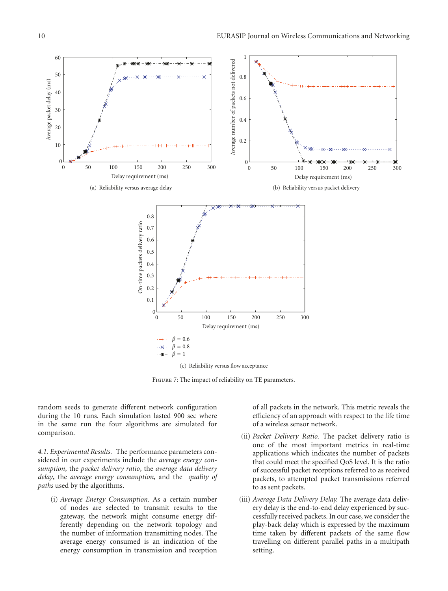

FIGURE 7: The impact of reliability on TE parameters.

random seeds to generate different network configuration during the 10 runs. Each simulation lasted 900 sec where in the same run the four algorithms are simulated for comparison.

*4.1. Experimental Results.* The performance parameters considered in our experiments include the *average energy consumption*, the *packet delivery ratio*, the *average data delivery delay*, the *average energy consumption*, and the *quality of paths* used by the algorithms.

(i) *Average Energy Consumption.* As a certain number of nodes are selected to transmit results to the gateway, the network might consume energy differently depending on the network topology and the number of information transmitting nodes. The average energy consumed is an indication of the energy consumption in transmission and reception of all packets in the network. This metric reveals the efficiency of an approach with respect to the life time of a wireless sensor network.

- (ii) *Packet Delivery Ratio.* The packet delivery ratio is one of the most important metrics in real-time applications which indicates the number of packets that could meet the specified QoS level. It is the ratio of successful packet receptions referred to as received packets, to attempted packet transmissions referred to as sent packets.
- (iii) *Average Data Delivery Delay.* The average data delivery delay is the end-to-end delay experienced by successfully received packets. In our case, we consider the play-back delay which is expressed by the maximum time taken by different packets of the same flow travelling on different parallel paths in a multipath setting.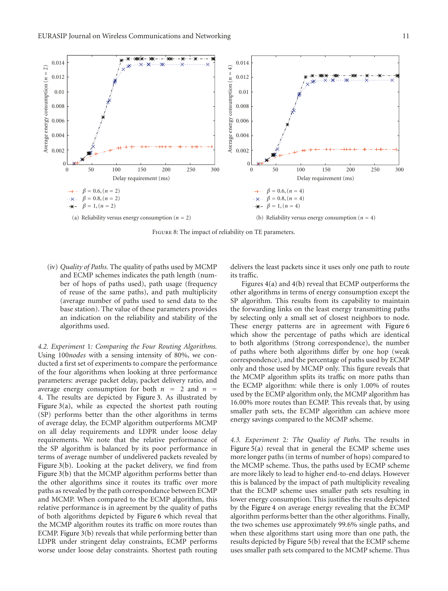

FIGURE 8: The impact of reliability on TE parameters.

(iv) *Quality of Paths.* The quality of paths used by MCMP and ECMP schemes indicates the path length (number of hops of paths used), path usage (frequency of reuse of the same paths), and path multiplicity (average number of paths used to send data to the base station). The value of these parameters provides an indication on the reliability and stability of the algorithms used.

*4.2. Experiment* 1*: Comparing the Four Routing Algorithms.* Using 100*nodes* with a sensing intensity of 80%, we conducted a first set of experiments to compare the performance of the four algorithms when looking at three performance parameters: average packet delay, packet delivery ratio, and average energy consumption for both  $n = 2$  and  $n =$ 4. The results are depicted by Figure 3. As illustrated by Figure 3(a), while as expected the shortest path routing (SP) performs better than the other algorithms in terms of average delay, the ECMP algorithm outperforms MCMP on all delay requirements and LDPR under loose delay requirements. We note that the relative performance of the SP algorithm is balanced by its poor performance in terms of average number of undelivered packets revealed by Figure 3(b). Looking at the packet delivery, we find from Figure 3(b) that the MCMP algorithm performs better than the other algorithms since it routes its traffic over more paths as revealed by the path correspondance between ECMP and MCMP. When compared to the ECMP algorithm, this relative performance is in agreement by the quality of paths of both algorithms depicted by Figure 6 which reveal that the MCMP algorithm routes its traffic on more routes than ECMP. Figure 3(b) reveals that while performing better than LDPR under stringent delay constraints, ECMP performs worse under loose delay constraints. Shortest path routing

delivers the least packets since it uses only one path to route its traffic.

Figures 4(a) and 4(b) reveal that ECMP outperforms the other algorithms in terms of energy consumption except the SP algorithm. This results from its capability to maintain the forwarding links on the least energy transmitting paths by selecting only a small set of closest neighbors to node. These energy patterns are in agreement with Figure 6 which show the percentage of paths which are identical to both algorithms (Strong correspondence), the number of paths where both algorithms differ by one hop (weak correspondence), and the percentage of paths used by ECMP only and those used by MCMP only. This figure reveals that the MCMP algorithm splits its traffic on more paths than the ECMP algorithm: while there is only 1.00% of routes used by the ECMP algorithm only, the MCMP algorithm has 16.00% more routes than ECMP. This reveals that, by using smaller path sets, the ECMP algorithm can achieve more energy savings compared to the MCMP scheme.

*4.3. Experiment* 2*: The Quality of Paths.* The results in Figure 5(a) reveal that in general the ECMP scheme uses more longer paths (in terms of number of hops) compared to the MCMP scheme. Thus, the paths used by ECMP scheme are more likely to lead to higher end-to-end delays. However this is balanced by the impact of path multiplicity revealing that the ECMP scheme uses smaller path sets resulting in lower energy consumption. This justifies the results depicted by the Figure 4 on average energy revealing that the ECMP algorithm performs better than the other algorithms. Finally, the two schemes use approximately 99*.*6% single paths, and when these algorithms start using more than one path, the results depicted by Figure 5(b) reveal that the ECMP scheme uses smaller path sets compared to the MCMP scheme. Thus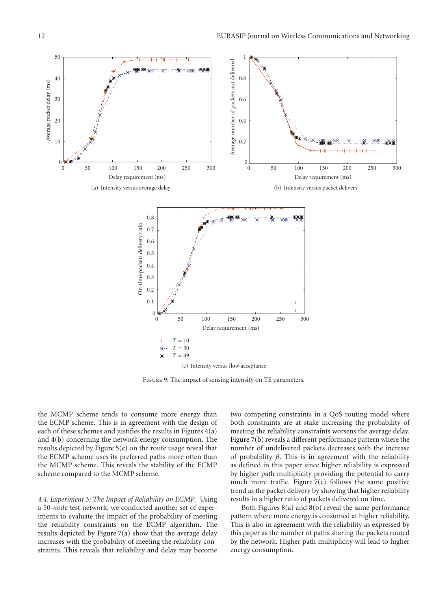

FIGURE 9: The impact of sensing intensity on TE parameters.

the MCMP scheme tends to consume more energy than the ECMP scheme. This is in agreement with the design of each of these schemes and justifies the results in Figures 4(a) and 4(b) concerning the network energy consumption. The results depicted by Figure  $5(c)$  on the route usage reveal that the ECMP scheme uses its preferred paths more often than the MCMP scheme. This reveals the stability of the ECMP scheme compared to the MCMP scheme.

*4.4. Experiment* 3*: The Impact of Reliability on ECMP.* Using a 50-*node* test network, we conducted another set of experiments to evaluate the impact of the probability of meeting the reliability constraints on the ECMP algorithm. The results depicted by Figure 7(a) show that the average delay increases with the probability of meeting the reliability constraints. This reveals that reliability and delay may become two competing constraints in a QoS routing model where both constraints are at stake increasing the probability of meeting the reliability constraints worsens the average delay. Figure 7(b) reveals a different performance pattern where the number of undelivered packets decreases with the increase of probability *β*. This is in agreement with the reliability as defined in this paper since higher reliability is expressed by higher path multiplicity providing the potential to carry much more traffic. Figure  $7(c)$  follows the same positive trend as the packet delivery by showing that higher reliability results in a higher ratio of packets delivered on time.

Both Figures 8(a) and 8(b) reveal the same performance pattern where more energy is consumed at higher reliability. This is also in agreement with the reliability as expressed by this paper as the number of paths sharing the packets routed by the network. Higher path multiplicity will lead to higher energy consumption.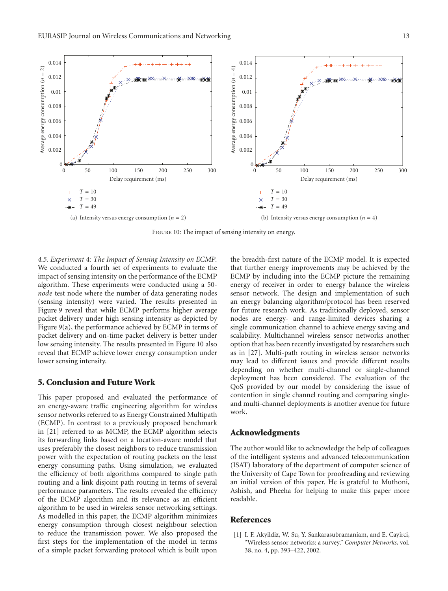

FIGURE 10: The impact of sensing intensity on energy.

*4.5. Experiment* 4*: The Impact of Sensing Intensity on ECMP.* We conducted a fourth set of experiments to evaluate the impact of sensing intensity on the performance of the ECMP algorithm. These experiments were conducted using a 50 *node* test node where the number of data generating nodes (sensing intensity) were varied. The results presented in Figure 9 reveal that while ECMP performs higher average packet delivery under high sensing intensity as depicted by Figure 9(a), the performance achieved by ECMP in terms of packet delivery and on-time packet delivery is better under low sensing intensity. The results presented in Figure 10 also reveal that ECMP achieve lower energy consumption under lower sensing intensity.

## **5. Conclusion and Future Work**

This paper proposed and evaluated the performance of an energy-aware traffic engineering algorithm for wireless sensor networks referred to as Energy Constrained Multipath (ECMP). In contrast to a previously proposed benchmark in [21] referred to as MCMP, the ECMP algorithm selects its forwarding links based on a location-aware model that uses preferably the closest neighbors to reduce transmission power with the expectation of routing packets on the least energy consuming paths. Using simulation, we evaluated the efficiency of both algorithms compared to single path routing and a link disjoint path routing in terms of several performance parameters. The results revealed the efficiency of the ECMP algorithm and its relevance as an efficient algorithm to be used in wireless sensor networking settings. As modelled in this paper, the ECMP algorithm minimizes energy consumption through closest neighbour selection to reduce the transmission power. We also proposed the first steps for the implementation of the model in terms of a simple packet forwarding protocol which is built upon

the breadth-first nature of the ECMP model. It is expected that further energy improvements may be achieved by the ECMP by including into the ECMP picture the remaining energy of receiver in order to energy balance the wireless sensor network. The design and implementation of such an energy balancing algorithm/protocol has been reserved for future research work. As traditionally deployed, sensor nodes are energy- and range-limited devices sharing a single communication channel to achieve energy saving and scalability. Multichannel wireless sensor networks another option that has been recently investigated by researchers such as in [27]. Multi-path routing in wireless sensor networks may lead to different issues and provide different results depending on whether multi-channel or single-channel deployment has been considered. The evaluation of the QoS provided by our model by considering the issue of contention in single channel routing and comparing singleand multi-channel deployments is another avenue for future work.

## **Acknowledgments**

The author would like to acknowledge the help of colleagues of the intelligent systems and advanced telecommunication (ISAT) laboratory of the department of computer science of the University of Cape Town for proofreading and reviewing an initial version of this paper. He is grateful to Muthoni, Ashish, and Pheeha for helping to make this paper more readable.

#### **References**

[1] I. F. Akyildiz, W. Su, Y. Sankarasubramaniam, and E. Cayirci, "Wireless sensor networks: a survey," *Computer Networks*, vol. 38, no. 4, pp. 393–422, 2002.